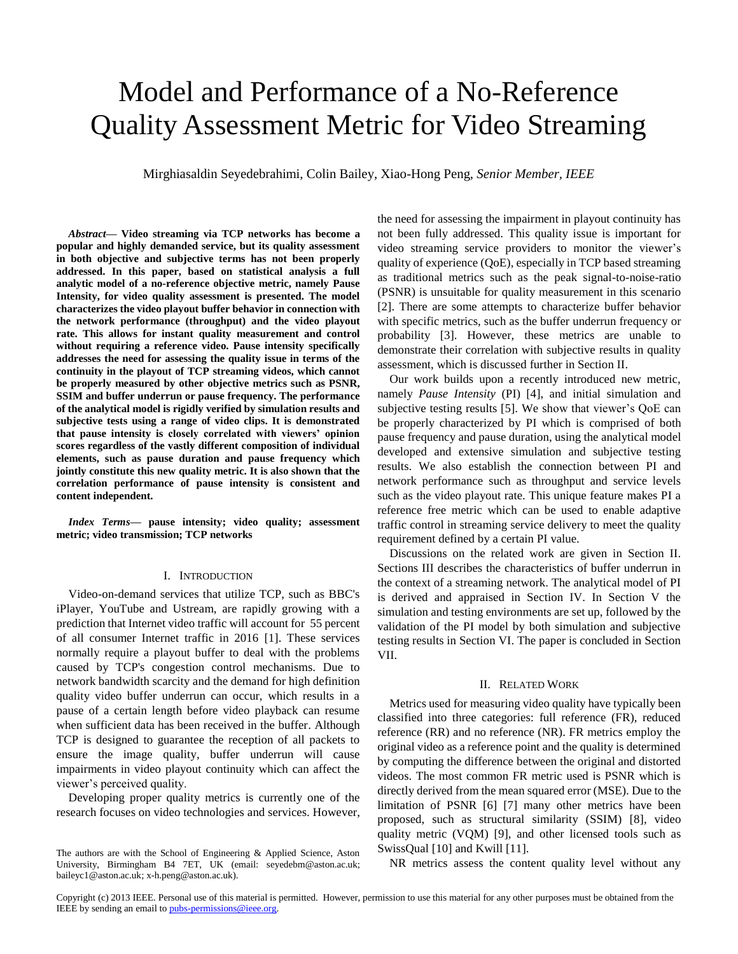# Model and Performance of a No-Reference Quality Assessment Metric for Video Streaming

Mirghiasaldin Seyedebrahimi, Colin Bailey, Xiao-Hong Peng, *Senior Member, IEEE*

*Abstract***— Video streaming via TCP networks has become a popular and highly demanded service, but its quality assessment in both objective and subjective terms has not been properly addressed. In this paper, based on statistical analysis a full analytic model of a no-reference objective metric, namely Pause Intensity, for video quality assessment is presented. The model characterizes the video playout buffer behavior in connection with the network performance (throughput) and the video playout rate. This allows for instant quality measurement and control without requiring a reference video. Pause intensity specifically addresses the need for assessing the quality issue in terms of the continuity in the playout of TCP streaming videos, which cannot be properly measured by other objective metrics such as PSNR, SSIM and buffer underrun or pause frequency. The performance of the analytical model is rigidly verified by simulation results and subjective tests using a range of video clips. It is demonstrated that pause intensity is closely correlated with viewers' opinion scores regardless of the vastly different composition of individual elements, such as pause duration and pause frequency which jointly constitute this new quality metric. It is also shown that the correlation performance of pause intensity is consistent and content independent.**

*Index Terms***— pause intensity; video quality; assessment metric; video transmission; TCP networks**

## I. INTRODUCTION

Video-on-demand services that utilize TCP, such as BBC's iPlayer, YouTube and Ustream, are rapidly growing with a prediction that Internet video traffic will account for 55 percent of all consumer Internet traffic in 2016 [1]. These services normally require a playout buffer to deal with the problems caused by TCP's congestion control mechanisms. Due to network bandwidth scarcity and the demand for high definition quality video buffer underrun can occur, which results in a pause of a certain length before video playback can resume when sufficient data has been received in the buffer. Although TCP is designed to guarantee the reception of all packets to ensure the image quality, buffer underrun will cause impairments in video playout continuity which can affect the viewer's perceived quality.

Developing proper quality metrics is currently one of the research focuses on video technologies and services. However, the need for assessing the impairment in playout continuity has not been fully addressed. This quality issue is important for video streaming service providers to monitor the viewer's quality of experience (QoE), especially in TCP based streaming as traditional metrics such as the peak signal-to-noise-ratio (PSNR) is unsuitable for quality measurement in this scenario [2]. There are some attempts to characterize buffer behavior with specific metrics, such as the buffer underrun frequency or probability [3]. However, these metrics are unable to demonstrate their correlation with subjective results in quality assessment, which is discussed further in Section II.

Our work builds upon a recently introduced new metric, namely *Pause Intensity* (PI) [4], and initial simulation and subjective testing results [5]. We show that viewer's QoE can be properly characterized by PI which is comprised of both pause frequency and pause duration, using the analytical model developed and extensive simulation and subjective testing results. We also establish the connection between PI and network performance such as throughput and service levels such as the video playout rate. This unique feature makes PI a reference free metric which can be used to enable adaptive traffic control in streaming service delivery to meet the quality requirement defined by a certain PI value.

Discussions on the related work are given in Section II. Sections III describes the characteristics of buffer underrun in the context of a streaming network. The analytical model of PI is derived and appraised in Section IV. In Section V the simulation and testing environments are set up, followed by the validation of the PI model by both simulation and subjective testing results in Section VI. The paper is concluded in Section VII.

#### II. RELATED WORK

Metrics used for measuring video quality have typically been classified into three categories: full reference (FR), reduced reference (RR) and no reference (NR). FR metrics employ the original video as a reference point and the quality is determined by computing the difference between the original and distorted videos. The most common FR metric used is PSNR which is directly derived from the mean squared error (MSE). Due to the limitation of PSNR [6] [7] many other metrics have been proposed, such as structural similarity (SSIM) [8], video quality metric (VQM) [9], and other licensed tools such as SwissQual [10] and Kwill [11].

NR metrics assess the content quality level without any

The authors are with the School of Engineering & Applied Science, Aston University, Birmingham B4 7ET, UK (email: seyedebm@aston.ac.uk; baileyc1@aston.ac.uk; x-h.peng@aston.ac.uk).

Copyright (c) 2013 IEEE. Personal use of this material is permitted. However, permission to use this material for any other purposes must be obtained from the IEEE by sending an email to pubs-permissions@ieee.org.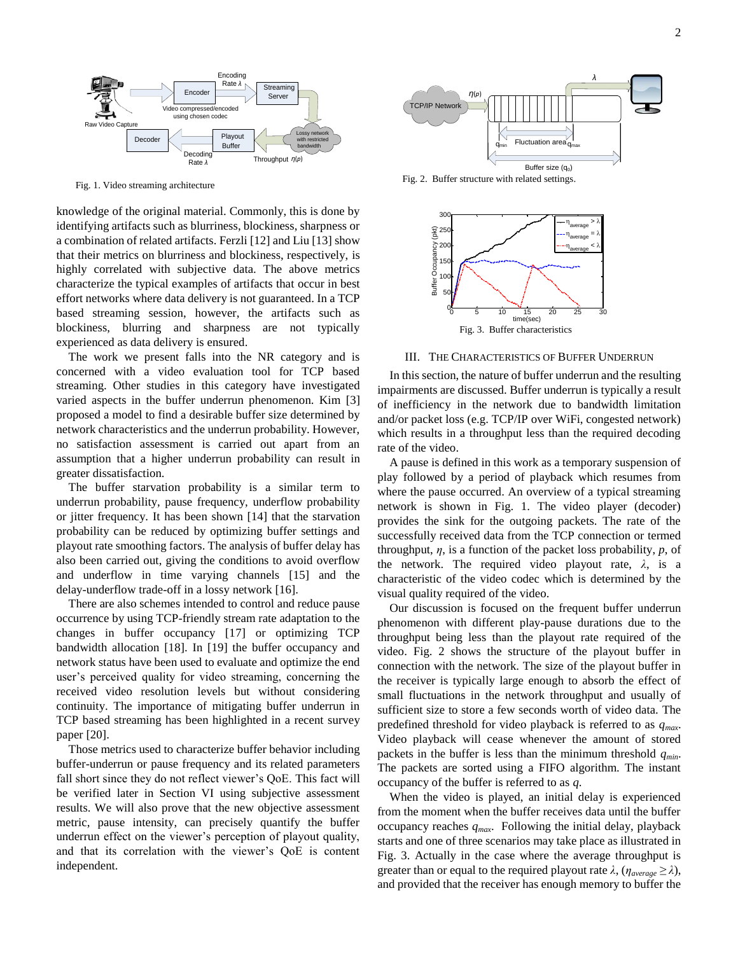

Fig. 1. Video streaming architecture

knowledge of the original material. Commonly, this is done by identifying artifacts such as blurriness, blockiness, sharpness or a combination of related artifacts. Ferzli [12] and Liu [13] show that their metrics on blurriness and blockiness, respectively, is highly correlated with subjective data. The above metrics characterize the typical examples of artifacts that occur in best effort networks where data delivery is not guaranteed. In a TCP based streaming session, however, the artifacts such as blockiness, blurring and sharpness are not typically experienced as data delivery is ensured.

The work we present falls into the NR category and is concerned with a video evaluation tool for TCP based streaming. Other studies in this category have investigated varied aspects in the buffer underrun phenomenon. Kim [3] proposed a model to find a desirable buffer size determined by network characteristics and the underrun probability. However, no satisfaction assessment is carried out apart from an assumption that a higher underrun probability can result in greater dissatisfaction.

The buffer starvation probability is a similar term to underrun probability, pause frequency, underflow probability or jitter frequency. It has been shown [14] that the starvation probability can be reduced by optimizing buffer settings and playout rate smoothing factors. The analysis of buffer delay has also been carried out, giving the conditions to avoid overflow and underflow in time varying channels [15] and the delay-underflow trade-off in a lossy network [16].

There are also schemes intended to control and reduce pause occurrence by using TCP-friendly stream rate adaptation to the changes in buffer occupancy [17] or optimizing TCP bandwidth allocation [18]. In [19] the buffer occupancy and network status have been used to evaluate and optimize the end user's perceived quality for video streaming, concerning the received video resolution levels but without considering continuity. The importance of mitigating buffer underrun in TCP based streaming has been highlighted in a recent survey paper [20].

Those metrics used to characterize buffer behavior including buffer-underrun or pause frequency and its related parameters fall short since they do not reflect viewer's QoE. This fact will be verified later in Section VI using subjective assessment results. We will also prove that the new objective assessment metric, pause intensity, can precisely quantify the buffer underrun effect on the viewer's perception of playout quality, and that its correlation with the viewer's QoE is content independent.



Fig. 2. Buffer structure with related settings.



III. THE CHARACTERISTICS OF BUFFER UNDERRUN

In this section, the nature of buffer underrun and the resulting impairments are discussed. Buffer underrun is typically a result of inefficiency in the network due to bandwidth limitation and/or packet loss (e.g. TCP/IP over WiFi, congested network) which results in a throughput less than the required decoding rate of the video.

A pause is defined in this work as a temporary suspension of play followed by a period of playback which resumes from where the pause occurred. An overview of a typical streaming network is shown in Fig. 1. The video player (decoder) provides the sink for the outgoing packets. The rate of the successfully received data from the TCP connection or termed throughput, *η*, is a function of the packet loss probability, *p*, of the network. The required video playout rate, *λ*, is a characteristic of the video codec which is determined by the visual quality required of the video.

Our discussion is focused on the frequent buffer underrun phenomenon with different play-pause durations due to the throughput being less than the playout rate required of the video. Fig. 2 shows the structure of the playout buffer in connection with the network. The size of the playout buffer in the receiver is typically large enough to absorb the effect of small fluctuations in the network throughput and usually of sufficient size to store a few seconds worth of video data. The predefined threshold for video playback is referred to as *qmax*. Video playback will cease whenever the amount of stored packets in the buffer is less than the minimum threshold *qmin*. The packets are sorted using a FIFO algorithm. The instant occupancy of the buffer is referred to as *q*.

When the video is played, an initial delay is experienced from the moment when the buffer receives data until the buffer occupancy reaches *qmax*. Following the initial delay, playback starts and one of three scenarios may take place as illustrated in Fig. 3. Actually in the case where the average throughput is greater than or equal to the required playout rate  $\lambda$ ,  $(\eta_{average} \ge \lambda)$ , and provided that the receiver has enough memory to buffer the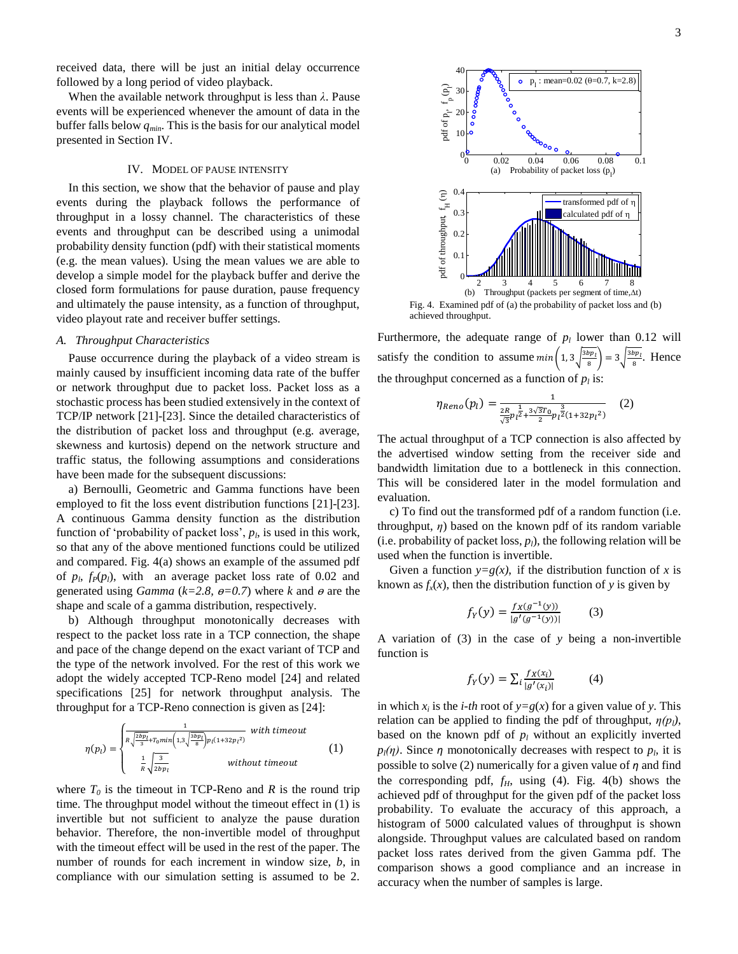received data, there will be just an initial delay occurrence followed by a long period of video playback.

When the available network throughput is less than *λ*. Pause events will be experienced whenever the amount of data in the buffer falls below *qmin*. This is the basis for our analytical model presented in Section IV.

## IV. MODEL OF PAUSE INTENSITY

In this section, we show that the behavior of pause and play events during the playback follows the performance of throughput in a lossy channel. The characteristics of these events and throughput can be described using a unimodal probability density function (pdf) with their statistical moments (e.g. the mean values). Using the mean values we are able to develop a simple model for the playback buffer and derive the closed form formulations for pause duration, pause frequency and ultimately the pause intensity, as a function of throughput, video playout rate and receiver buffer settings.

## *A. Throughput Characteristics*

Pause occurrence during the playback of a video stream is mainly caused by insufficient incoming data rate of the buffer or network throughput due to packet loss. Packet loss as a stochastic process has been studied extensively in the context of TCP/IP network [21]-[23]. Since the detailed characteristics of the distribution of packet loss and throughput (e.g. average, skewness and kurtosis) depend on the network structure and traffic status, the following assumptions and considerations have been made for the subsequent discussions:

a) Bernoulli, Geometric and Gamma functions have been employed to fit the loss event distribution functions [21]-[23]. A continuous Gamma density function as the distribution function of 'probability of packet loss',  $p_l$ , is used in this work, so that any of the above mentioned functions could be utilized and compared. Fig. 4(a) shows an example of the assumed pdf of  $p_l$ ,  $f_P(p_l)$ , with an average packet loss rate of 0.02 and generated using *Gamma* ( $k=2.8$ ,  $\theta=0.7$ ) where *k* and  $\theta$  are the shape and scale of a gamma distribution, respectively.

b) Although throughput monotonically decreases with respect to the packet loss rate in a TCP connection, the shape and pace of the change depend on the exact variant of TCP and the type of the network involved. For the rest of this work we adopt the widely accepted TCP-Reno model [24] and related specifications [25] for network throughput analysis. The throughput for a TCP-Reno connection is given as [24]:

$$
\eta(p_l) = \begin{cases} \frac{1}{R\sqrt{\frac{2bp_l}{3} + T_0min\left(1, 3\sqrt{\frac{3bp_l}{8}}\right)}p_l(1+32p_l^2)} & \text{with timeout} \\ \frac{1}{R\sqrt{\frac{3}{2bp_l}}} & \text{without timeout} \end{cases}
$$
(1)

where  $T_0$  is the timeout in TCP-Reno and *R* is the round trip time. The throughput model without the timeout effect in (1) is invertible but not sufficient to analyze the pause duration behavior. Therefore, the non-invertible model of throughput with the timeout effect will be used in the rest of the paper. The number of rounds for each increment in window size, *b*, in compliance with our simulation setting is assumed to be 2.



Fig. 4. Examined pdf of (a) the probability of packet loss and (b) achieved throughput.

Furthermore, the adequate range of  $p_l$  lower than 0.12 will satisfy the condition to assume  $min( 1, 3 \frac{3}{2}$  $\left(\frac{bp_l}{8}\right) = 3\sqrt{\frac{3}{2}}$  $\frac{bp_l}{8}$ . Hence the throughput concerned as a function of  $p_l$  is:

$$
\eta_{Reno}(p_l) = \frac{1}{\frac{2R}{\sqrt{3}}p_l^{\frac{1}{2} + \frac{3\sqrt{3}T_0}{2}}p_l^{\frac{3}{2}}(1+32p_l^2)}
$$
 (2)

The actual throughput of a TCP connection is also affected by the advertised window setting from the receiver side and bandwidth limitation due to a bottleneck in this connection. This will be considered later in the model formulation and evaluation.

c) To find out the transformed pdf of a random function (i.e. throughput, *η*) based on the known pdf of its random variable (i.e. probability of packet loss,  $p_l$ ), the following relation will be used when the function is invertible.

Given a function  $y=g(x)$ , if the distribution function of x is known as  $f_x(x)$ , then the distribution function of *y* is given by

$$
f_Y(y) = \frac{f_X(g^{-1}(y))}{|g'(g^{-1}(y))|} \tag{3}
$$

A variation of (3) in the case of *y* being a non-invertible function is

$$
f_Y(y) = \sum_i \frac{f_X(x_i)}{|g'(x_i)|} \tag{4}
$$

in which  $x_i$  is the *i-th* root of  $y = g(x)$  for a given value of *y*. This relation can be applied to finding the pdf of throughput,  $\eta(p_l)$ , based on the known pdf of  $p_l$  without an explicitly inverted  $p_l(\eta)$ . Since  $\eta$  monotonically decreases with respect to  $p_l$ , it is possible to solve (2) numerically for a given value of *η* and find the corresponding pdf,  $f_H$ , using (4). Fig. 4(b) shows the achieved pdf of throughput for the given pdf of the packet loss probability. To evaluate the accuracy of this approach, a histogram of 5000 calculated values of throughput is shown alongside. Throughput values are calculated based on random packet loss rates derived from the given Gamma pdf. The comparison shows a good compliance and an increase in accuracy when the number of samples is large.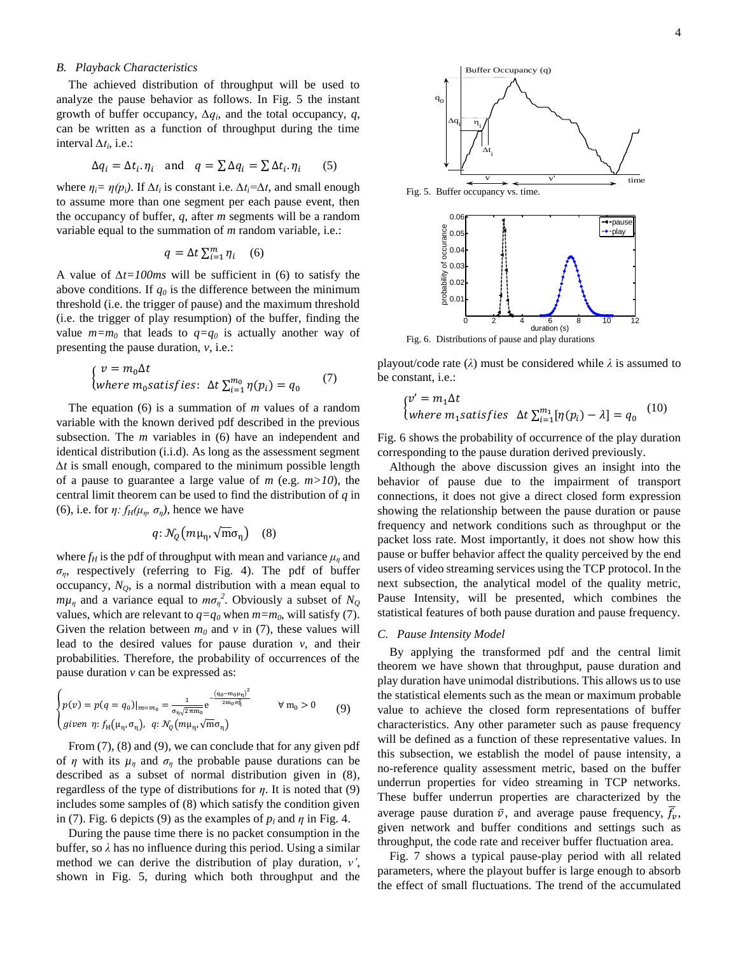## *B. Playback Characteristics*

The achieved distribution of throughput will be used to analyze the pause behavior as follows. In Fig. 5 the instant growth of buffer occupancy,  $\Delta q_i$ , and the total occupancy,  $q$ , can be written as a function of throughput during the time interval  $\Delta t_i$ , i.e.:

$$
\Delta q_i = \Delta t_i \cdot \eta_i \quad \text{and} \quad q = \sum \Delta q_i = \sum \Delta t_i \cdot \eta_i \tag{5}
$$

where  $\eta_i = \eta(p_i)$ . If  $\Delta t_i$  is constant i.e.  $\Delta t_i = \Delta t$ , and small enough to assume more than one segment per each pause event, then the occupancy of buffer, *q*, after *m* segments will be a random variable equal to the summation of *m* random variable, i.e.:

$$
q = \Delta t \sum_{i=1}^{m} \eta_i \quad (6)
$$

A value of *∆t=100ms* will be sufficient in (6) to satisfy the above conditions. If *q<sup>0</sup>* is the difference between the minimum threshold (i.e. the trigger of pause) and the maximum threshold (i.e. the trigger of play resumption) of the buffer, finding the value  $m=m_0$  that leads to  $q=q_0$  is actually another way of presenting the pause duration, *v*, i.e.:

$$
\begin{cases}\nv = m_0 \Delta t \\
where \, m_0 \, satisfies: \, \Delta t \sum_{i=1}^{m_0} \eta(p_i) = q_0\n\end{cases} (7)
$$

The equation (6) is a summation of *m* values of a random variable with the known derived pdf described in the previous subsection. The *m* variables in (6) have an independent and identical distribution (i.i.d). As long as the assessment segment *∆t* is small enough, compared to the minimum possible length of a pause to guarantee a large value of *m* (e.g. *m>10*), the central limit theorem can be used to find the distribution of *q* in (6), i.e. for  $\eta$ :  $f_H(\mu_\eta, \sigma_\eta)$ , hence we have

$$
q: \mathcal{N}_Q(m\mu_{\eta}, \sqrt{m}\sigma_{\eta}) \quad (8)
$$

where  $f_H$  is the pdf of throughput with mean and variance  $\mu_n$  and *ση*, respectively (referring to Fig. 4). The pdf of buffer occupancy,  $N_Q$ , is a normal distribution with a mean equal to  $m\mu_{\eta}$  and a variance equal to  $m\sigma_{\eta}^2$ . Obviously a subset of  $N_Q$ values, which are relevant to  $q=q_0$  when  $m=m_0$ , will satisfy (7). Given the relation between  $m_0$  and  $v$  in (7), these values will lead to the desired values for pause duration *v*, and their probabilities. Therefore, the probability of occurrences of the pause duration *v* can be expressed as:

$$
\begin{cases}\np(v) = p(q = q_0)|_{m = m_0} = \frac{1}{\sigma_\eta \sqrt{2\pi m_0}} e^{-\frac{(q_0 - m_0 \mu_\eta)^2}{2m_0 \sigma_\eta^2}} & \forall m_0 > 0 \\
given \eta: f_H(\mu_\eta, \sigma_\eta), \ q: \mathcal{N}_Q(m\mu_\eta, \sqrt{m} \sigma_\eta)\n\end{cases} (9)
$$

From  $(7)$ ,  $(8)$  and  $(9)$ , we can conclude that for any given pdf of  $\eta$  with its  $\mu_n$  and  $\sigma_n$  the probable pause durations can be described as a subset of normal distribution given in (8), regardless of the type of distributions for *η*. It is noted that (9) includes some samples of (8) which satisfy the condition given in (7). Fig. 6 depicts (9) as the examples of  $p_l$  and  $\eta$  in Fig. 4.

During the pause time there is no packet consumption in the buffer, so *λ* has no influence during this period. Using a similar method we can derive the distribution of play duration, *v'*, shown in Fig. 5, during which both throughput and the



playout/code rate (*λ*) must be considered while *λ* is assumed to be constant, i.e.:

$$
\begin{cases} v' = m_1 \Delta t \\ \text{where } m_1 \text{ satisfies } \Delta t \sum_{i=1}^{m_1} [\eta(p_i) - \lambda] = q_0 \end{cases} (10)
$$

Fig. 6 shows the probability of occurrence of the play duration corresponding to the pause duration derived previously.

Although the above discussion gives an insight into the behavior of pause due to the impairment of transport connections, it does not give a direct closed form expression showing the relationship between the pause duration or pause frequency and network conditions such as throughput or the packet loss rate. Most importantly, it does not show how this pause or buffer behavior affect the quality perceived by the end users of video streaming services using the TCP protocol. In the next subsection, the analytical model of the quality metric, Pause Intensity, will be presented, which combines the statistical features of both pause duration and pause frequency.

## *C. Pause Intensity Model*

By applying the transformed pdf and the central limit theorem we have shown that throughput, pause duration and play duration have unimodal distributions. This allows us to use the statistical elements such as the mean or maximum probable value to achieve the closed form representations of buffer characteristics. Any other parameter such as pause frequency will be defined as a function of these representative values. In this subsection, we establish the model of pause intensity, a no-reference quality assessment metric, based on the buffer underrun properties for video streaming in TCP networks. These buffer underrun properties are characterized by the average pause duration  $\bar{v}$ , and average pause frequency,  $\bar{f}_v$ , given network and buffer conditions and settings such as throughput, the code rate and receiver buffer fluctuation area.

Fig. 7 shows a typical pause-play period with all related parameters, where the playout buffer is large enough to absorb the effect of small fluctuations. The trend of the accumulated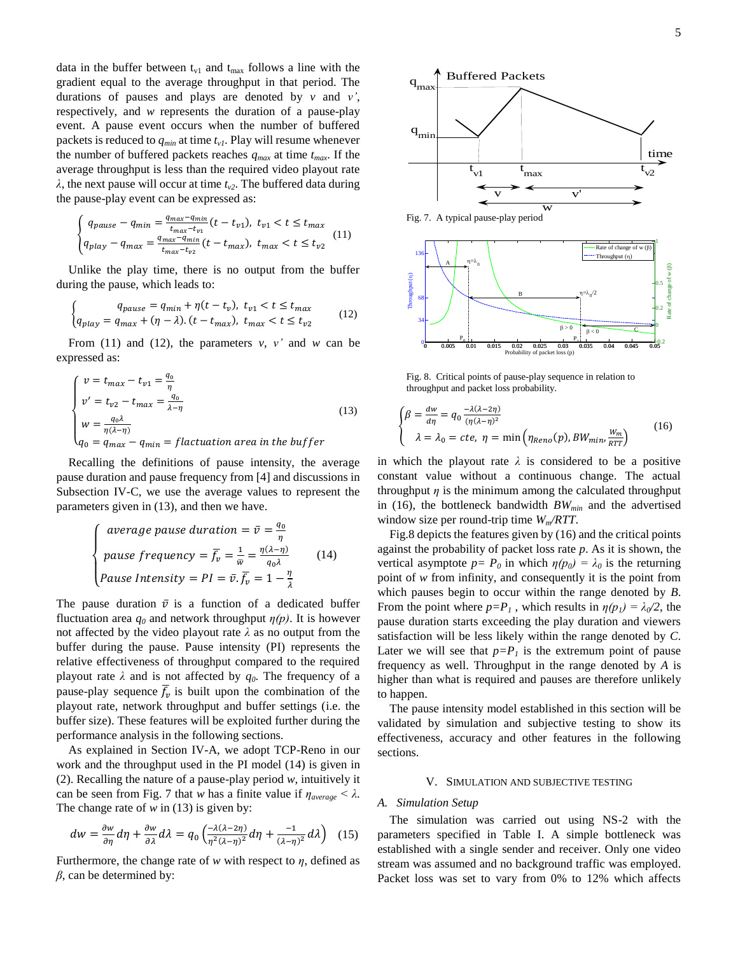data in the buffer between  $t_{v1}$  and  $t_{max}$  follows a line with the gradient equal to the average throughput in that period. The durations of pauses and plays are denoted by *v* and *v'*, respectively, and *w* represents the duration of a pause-play event. A pause event occurs when the number of buffered packets is reduced to *qmin* at time *tv1*. Play will resume whenever the number of buffered packets reaches  $q_{max}$  at time  $t_{max}$ . If the average throughput is less than the required video playout rate *λ*, the next pause will occur at time *tv2*. The buffered data during the pause-play event can be expressed as:

$$
\begin{cases}\n q_{pause} - q_{min} = \frac{q_{max} - q_{min}}{t_{max} - t_{v1}} (t - t_{v1}), \ t_{v1} < t \le t_{max} \\
 q_{play} - q_{max} = \frac{q_{max} - q_{min}}{t_{max} - t_{v2}} (t - t_{max}), \ t_{max} < t \le t_{v2}\n\end{cases} (11)
$$

Unlike the play time, there is no output from the buffer during the pause, which leads to:

$$
\begin{cases}\n q_{pause} = q_{min} + \eta(t - t_v), \ t_{v1} < t \le t_{max} \\
 q_{play} = q_{max} + (\eta - \lambda). (t - t_{max}), \ t_{max} < t \le t_{v2}\n\end{cases}
$$
\n
$$
(12)
$$

From (11) and (12), the parameters  $v, v'$  and  $w$  can be expressed as:

$$
\begin{cases}\nv = t_{max} - t_{v1} = \frac{q_0}{\eta} \\
v' = t_{v2} - t_{max} = \frac{q_0}{\lambda - \eta} \\
w = \frac{q_0 \lambda}{\eta(\lambda - \eta)} \\
q_0 = q_{max} - q_{min} = fluctuation \text{ area in the buffer}\n\end{cases}
$$
\n(13)

Recalling the definitions of pause intensity, the average pause duration and pause frequency from [4] and discussions in Subsection IV-C, we use the average values to represent the parameters given in (13), and then we have.

$$
\begin{cases}\n\text{average pause duration} = \bar{v} = \frac{q_0}{\eta} \\
\text{pause frequency} = \bar{f}_v = \frac{1}{\bar{w}} = \frac{\eta(\lambda - \eta)}{q_0 \lambda} \\
\text{Pause Intensity} = PI = \bar{v} \cdot \bar{f}_v = 1 - \frac{\eta}{\lambda}\n\end{cases} (14)
$$

The pause duration  $\bar{v}$  is a function of a dedicated buffer fluctuation area  $q_0$  and network throughput  $\eta(p)$ . It is however not affected by the video playout rate *λ* as no output from the buffer during the pause. Pause intensity (PI) represents the relative effectiveness of throughput compared to the required playout rate  $\lambda$  and is not affected by  $q_0$ . The frequency of a pause-play sequence  $\bar{f}_v$  is built upon the combination of the playout rate, network throughput and buffer settings (i.e. the buffer size). These features will be exploited further during the performance analysis in the following sections.

As explained in Section IV-A, we adopt TCP-Reno in our work and the throughput used in the PI model (14) is given in (2). Recalling the nature of a pause-play period *w*, intuitively it can be seen from Fig. 7 that *w* has a finite value if  $\eta_{\text{average}} < \lambda$ . The change rate of  $w$  in (13) is given by:

$$
dw = \frac{\partial w}{\partial \eta} d\eta + \frac{\partial w}{\partial \lambda} d\lambda = q_0 \left( \frac{-\lambda(\lambda - 2\eta)}{\eta^2 (\lambda - \eta)^2} d\eta + \frac{-1}{(\lambda - \eta)^2} d\lambda \right) \tag{15}
$$

Furthermore, the change rate of *w* with respect to *η*, defined as *β*, can be determined by:



Fig. 7. A typical pause-play period



Fig. 8. Critical points of pause-play sequence in relation to throughput and packet loss probability.

$$
\begin{cases}\n\beta = \frac{dw}{d\eta} = q_0 \frac{-\lambda(\lambda - 2\eta)}{(\eta(\lambda - \eta)^2} \\
\lambda = \lambda_0 = cte, \ \eta = \min\left(\eta_{Reno}(p), BW_{min}, \frac{w_m}{RT}\right)\n\end{cases} (16)
$$

in which the playout rate  $\lambda$  is considered to be a positive constant value without a continuous change. The actual throughput  $\eta$  is the minimum among the calculated throughput in (16), the bottleneck bandwidth *BWmin* and the advertised window size per round-trip time *Wm/RTT*.

Fig.8 depicts the features given by (16) and the critical points against the probability of packet loss rate *p*. As it is shown, the vertical asymptote  $p = P_0$  in which  $\eta(p_0) = \lambda_0$  is the returning point of *w* from infinity, and consequently it is the point from which pauses begin to occur within the range denoted by *B*. From the point where  $p = P_l$ , which results in  $\eta(p_l) = \lambda_0/2$ , the pause duration starts exceeding the play duration and viewers satisfaction will be less likely within the range denoted by *C*. Later we will see that  $p = P_l$  is the extremum point of pause frequency as well. Throughput in the range denoted by *A* is higher than what is required and pauses are therefore unlikely to happen.

The pause intensity model established in this section will be validated by simulation and subjective testing to show its effectiveness, accuracy and other features in the following sections.

## V. SIMULATION AND SUBJECTIVE TESTING

#### *A. Simulation Setup*

The simulation was carried out using NS-2 with the parameters specified in Table I. A simple bottleneck was established with a single sender and receiver. Only one video stream was assumed and no background traffic was employed. Packet loss was set to vary from 0% to 12% which affects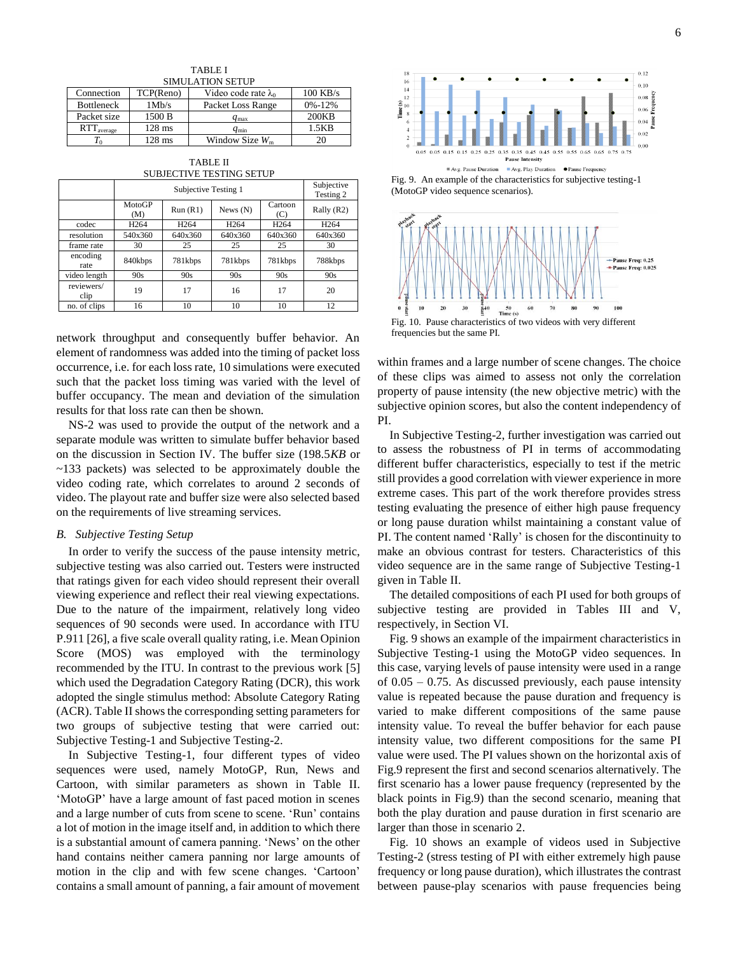| 1 AD LET                |                                                        |                   |              |  |  |  |
|-------------------------|--------------------------------------------------------|-------------------|--------------|--|--|--|
| <b>SIMULATION SETUP</b> |                                                        |                   |              |  |  |  |
| Connection              | $100$ KB/s<br>Video code rate $\lambda_0$<br>TCP(Reno) |                   |              |  |  |  |
| <b>Bottleneck</b>       | 1Mb/s                                                  | Packet Loss Range | $0\% - 12\%$ |  |  |  |
| Packet size             | 1500 B                                                 | $q_{\text{max}}$  | 200KB        |  |  |  |
| $RTT_{average}$         | $128$ ms                                               | $q_{\min}$        | 1.5KB        |  |  |  |
| $T_0$                   | $128$ ms                                               | Window Size $W_m$ | 20           |  |  |  |

TABLE I

TABLE II SUBJECTIVE TESTING SETUP

|                    | Subjective Testing 1 |                  |                  |                  | Subjective<br>Testing 2 |
|--------------------|----------------------|------------------|------------------|------------------|-------------------------|
|                    | MotoGP<br>(M)        | Run(R1)          | News $(N)$       | Cartoon<br>(C)   | Rally (R2)              |
| codec              | H <sub>264</sub>     | H <sub>264</sub> | H <sub>264</sub> | H <sub>264</sub> | H <sub>264</sub>        |
| resolution         | 540x360              | 640x360          | 640x360          | 640x360          | 640x360                 |
| frame rate         | 30                   | 25               | 25               | 25               | 30                      |
| encoding<br>rate   | 840kbps              | 781kbps          | 781kbps          | 781kbps          | 788kbps                 |
| video length       | 90s                  | 90s              | 90s              | 90s              | 90s                     |
| reviewers/<br>clip | 19                   | 17               | 16               | 17               | 20                      |
| no. of clips       | 16                   | 10               | 10               | 10               | 12                      |

network throughput and consequently buffer behavior. An element of randomness was added into the timing of packet loss occurrence, i.e. for each loss rate, 10 simulations were executed such that the packet loss timing was varied with the level of buffer occupancy. The mean and deviation of the simulation results for that loss rate can then be shown.

NS-2 was used to provide the output of the network and a separate module was written to simulate buffer behavior based on the discussion in Section IV. The buffer size (198.5*KB* or ~133 packets) was selected to be approximately double the video coding rate, which correlates to around 2 seconds of video. The playout rate and buffer size were also selected based on the requirements of live streaming services.

## *B. Subjective Testing Setup*

In order to verify the success of the pause intensity metric, subjective testing was also carried out. Testers were instructed that ratings given for each video should represent their overall viewing experience and reflect their real viewing expectations. Due to the nature of the impairment, relatively long video sequences of 90 seconds were used. In accordance with ITU P.911 [26], a five scale overall quality rating, i.e. Mean Opinion Score (MOS) was employed with the terminology recommended by the ITU. In contrast to the previous work [5] which used the Degradation Category Rating (DCR), this work adopted the single stimulus method: Absolute Category Rating (ACR). Table II shows the corresponding setting parameters for two groups of subjective testing that were carried out: Subjective Testing-1 and Subjective Testing-2.

In Subjective Testing-1, four different types of video sequences were used, namely MotoGP, Run, News and Cartoon, with similar parameters as shown in Table II. 'MotoGP' have a large amount of fast paced motion in scenes and a large number of cuts from scene to scene. 'Run' contains a lot of motion in the image itself and, in addition to which there is a substantial amount of camera panning. 'News' on the other hand contains neither camera panning nor large amounts of motion in the clip and with few scene changes. 'Cartoon' contains a small amount of panning, a fair amount of movement



Fig. 9. An example of the characteristics for subjective testing-1 (MotoGP video sequence scenarios).



within frames and a large number of scene changes. The choice of these clips was aimed to assess not only the correlation property of pause intensity (the new objective metric) with the subjective opinion scores, but also the content independency of PI.

In Subjective Testing-2, further investigation was carried out to assess the robustness of PI in terms of accommodating different buffer characteristics, especially to test if the metric still provides a good correlation with viewer experience in more extreme cases. This part of the work therefore provides stress testing evaluating the presence of either high pause frequency or long pause duration whilst maintaining a constant value of PI. The content named 'Rally' is chosen for the discontinuity to make an obvious contrast for testers. Characteristics of this video sequence are in the same range of Subjective Testing-1 given in Table II.

The detailed compositions of each PI used for both groups of subjective testing are provided in Tables III and V, respectively, in Section VI.

Fig. 9 shows an example of the impairment characteristics in Subjective Testing-1 using the MotoGP video sequences. In this case, varying levels of pause intensity were used in a range of  $0.05 - 0.75$ . As discussed previously, each pause intensity value is repeated because the pause duration and frequency is varied to make different compositions of the same pause intensity value. To reveal the buffer behavior for each pause intensity value, two different compositions for the same PI value were used. The PI values shown on the horizontal axis of Fig.9 represent the first and second scenarios alternatively. The first scenario has a lower pause frequency (represented by the black points in Fig.9) than the second scenario, meaning that both the play duration and pause duration in first scenario are larger than those in scenario 2.

Fig. 10 shows an example of videos used in Subjective Testing-2 (stress testing of PI with either extremely high pause frequency or long pause duration), which illustrates the contrast between pause-play scenarios with pause frequencies being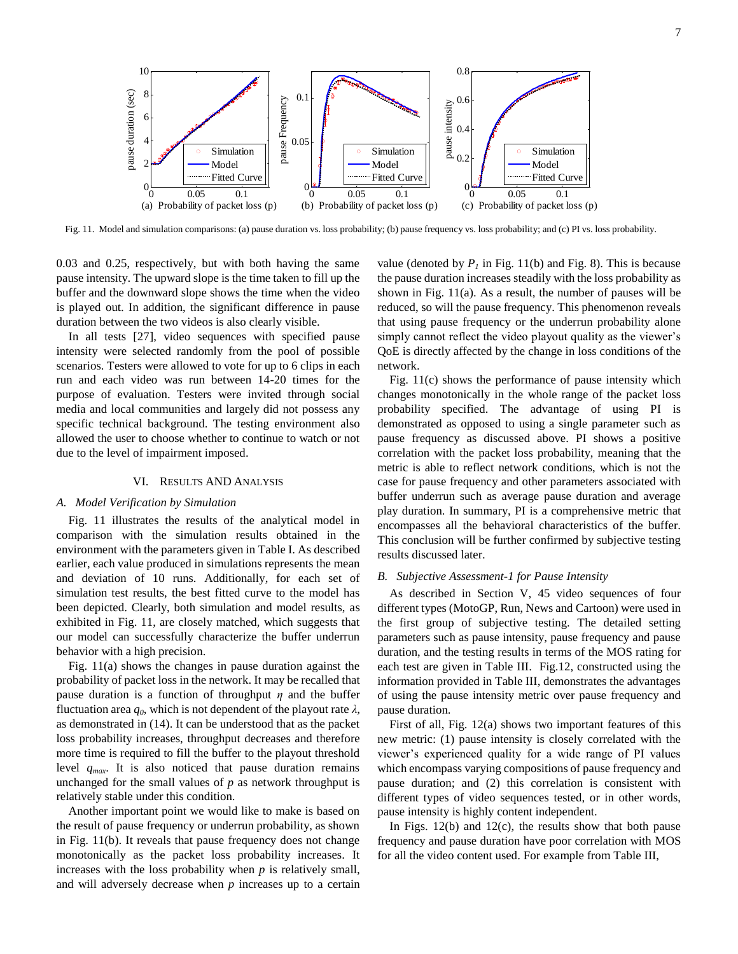

Fig. 11. Model and simulation comparisons: (a) pause duration vs. loss probability; (b) pause frequency vs. loss probability; and (c) PI vs. loss probability.

0.03 and 0.25, respectively, but with both having the same pause intensity. The upward slope is the time taken to fill up the buffer and the downward slope shows the time when the video is played out. In addition, the significant difference in pause duration between the two videos is also clearly visible.

In all tests [27], video sequences with specified pause intensity were selected randomly from the pool of possible scenarios. Testers were allowed to vote for up to 6 clips in each run and each video was run between 14-20 times for the purpose of evaluation. Testers were invited through social media and local communities and largely did not possess any specific technical background. The testing environment also allowed the user to choose whether to continue to watch or not due to the level of impairment imposed.

## VI. RESULTS AND ANALYSIS

## *A. Model Verification by Simulation*

Fig. 11 illustrates the results of the analytical model in comparison with the simulation results obtained in the environment with the parameters given in Table I. As described earlier, each value produced in simulations represents the mean and deviation of 10 runs. Additionally, for each set of simulation test results, the best fitted curve to the model has been depicted. Clearly, both simulation and model results, as exhibited in Fig. 11, are closely matched, which suggests that our model can successfully characterize the buffer underrun behavior with a high precision.

Fig. 11(a) shows the changes in pause duration against the probability of packet loss in the network. It may be recalled that pause duration is a function of throughput *η* and the buffer fluctuation area  $q_0$ , which is not dependent of the playout rate  $\lambda$ , as demonstrated in (14). It can be understood that as the packet loss probability increases, throughput decreases and therefore more time is required to fill the buffer to the playout threshold level *qmax*. It is also noticed that pause duration remains unchanged for the small values of *p* as network throughput is relatively stable under this condition.

Another important point we would like to make is based on the result of pause frequency or underrun probability, as shown in Fig. 11(b). It reveals that pause frequency does not change monotonically as the packet loss probability increases. It increases with the loss probability when *p* is relatively small, and will adversely decrease when *p* increases up to a certain value (denoted by  $P<sub>1</sub>$  in Fig. 11(b) and Fig. 8). This is because the pause duration increases steadily with the loss probability as shown in Fig. 11(a). As a result, the number of pauses will be reduced, so will the pause frequency. This phenomenon reveals that using pause frequency or the underrun probability alone simply cannot reflect the video playout quality as the viewer's QoE is directly affected by the change in loss conditions of the network.

Fig. 11(c) shows the performance of pause intensity which changes monotonically in the whole range of the packet loss probability specified. The advantage of using PI is demonstrated as opposed to using a single parameter such as pause frequency as discussed above. PI shows a positive correlation with the packet loss probability, meaning that the metric is able to reflect network conditions, which is not the case for pause frequency and other parameters associated with buffer underrun such as average pause duration and average play duration. In summary, PI is a comprehensive metric that encompasses all the behavioral characteristics of the buffer. This conclusion will be further confirmed by subjective testing results discussed later.

## *B. Subjective Assessment-1 for Pause Intensity*

As described in Section V, 45 video sequences of four different types (MotoGP, Run, News and Cartoon) were used in the first group of subjective testing. The detailed setting parameters such as pause intensity, pause frequency and pause duration, and the testing results in terms of the MOS rating for each test are given in Table III. Fig.12, constructed using the information provided in Table III, demonstrates the advantages of using the pause intensity metric over pause frequency and pause duration.

First of all, Fig. 12(a) shows two important features of this new metric: (1) pause intensity is closely correlated with the viewer's experienced quality for a wide range of PI values which encompass varying compositions of pause frequency and pause duration; and (2) this correlation is consistent with different types of video sequences tested, or in other words, pause intensity is highly content independent.

In Figs.  $12(b)$  and  $12(c)$ , the results show that both pause frequency and pause duration have poor correlation with MOS for all the video content used. For example from Table III,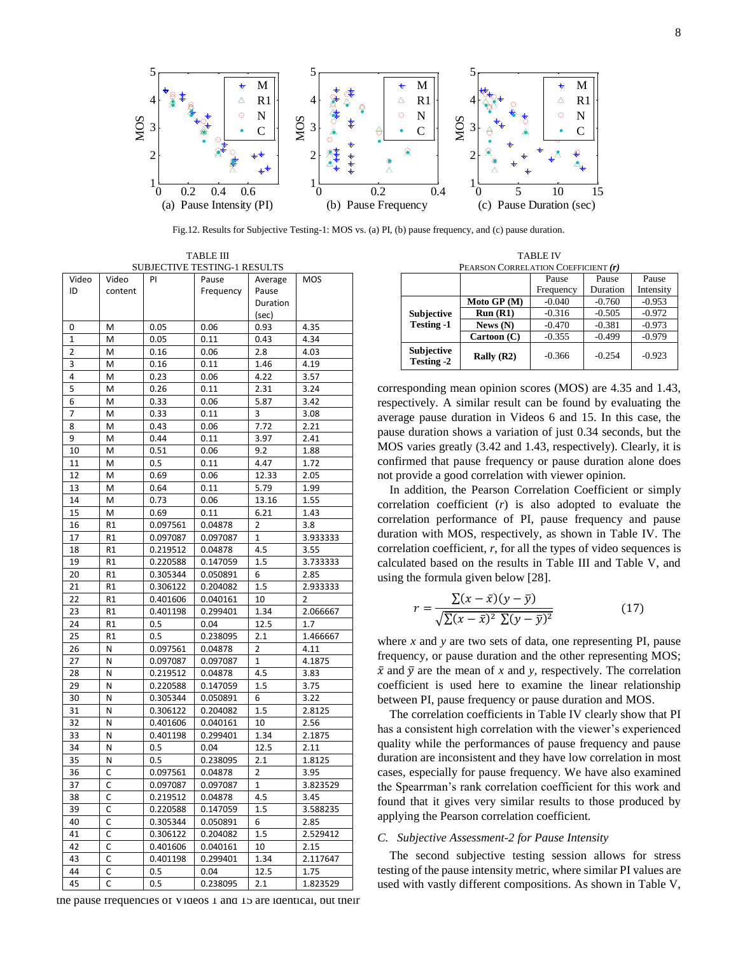

Fig.12. Results for Subjective Testing-1: MOS vs. (a) PI, (b) pause frequency, and (c) pause duration.

TABLE III SUBJECTIVE TESTING-1 RESULTS

|             |                  | PI       | SOBJECTIVE TESTING-T RESOETS |                  |          |
|-------------|------------------|----------|------------------------------|------------------|----------|
| Video<br>ID | Video<br>content |          | Pause<br>Frequency           | Average<br>Pause | MOS      |
|             |                  |          |                              | Duration         |          |
|             |                  |          |                              | (sec)            |          |
| 0           | M                | 0.05     | 0.06                         | 0.93             | 4.35     |
| $\mathbf 1$ | M                | 0.05     | 0.11                         | 0.43             | 4.34     |
| 2           | M                | 0.16     | 0.06                         | 2.8              | 4.03     |
| 3           | M                | 0.16     | 0.11                         | 1.46             | 4.19     |
| 4           | M                | 0.23     | 0.06                         | 4.22             | 3.57     |
| 5           | M                | 0.26     | 0.11                         | 2.31             | 3.24     |
| 6           | M                | 0.33     | 0.06                         | 5.87             | 3.42     |
| 7           | M                | 0.33     | 0.11                         | 3                | 3.08     |
| 8           | M                | 0.43     | 0.06                         | 7.72             | 2.21     |
| 9           | M                | 0.44     | 0.11                         | 3.97             | 2.41     |
| 10          | M                |          | 0.06                         | 9.2              | 1.88     |
|             |                  | 0.51     |                              |                  |          |
| 11          | M                | 0.5      | 0.11                         | 4.47             | 1.72     |
| 12          | M                | 0.69     | 0.06                         | 12.33            | 2.05     |
| 13          | M                | 0.64     | 0.11                         | 5.79             | 1.99     |
| 14          | M                | 0.73     | 0.06                         | 13.16            | 1.55     |
| 15          | M                | 0.69     | 0.11                         | 6.21             | 1.43     |
| 16          | R1               | 0.097561 | 0.04878                      | 2                | 3.8      |
| 17          | R1               | 0.097087 | 0.097087                     | 1                | 3.933333 |
| 18          | R <sub>1</sub>   | 0.219512 | 0.04878                      | 4.5              | 3.55     |
| 19          | R1               | 0.220588 | 0.147059                     | 1.5              | 3.733333 |
| 20          | R <sub>1</sub>   | 0.305344 | 0.050891                     | 6                | 2.85     |
| 21          | R <sub>1</sub>   | 0.306122 | 0.204082                     | 1.5              | 2.933333 |
| 22          | R1               | 0.401606 | 0.040161                     | 10               | 2        |
| 23          | R <sub>1</sub>   | 0.401198 | 0.299401                     | 1.34             | 2.066667 |
| 24          | R1               | 0.5      | 0.04                         | 12.5             | 1.7      |
| 25          | R <sub>1</sub>   | 0.5      | 0.238095                     | 2.1              | 1.466667 |
| 26          | N                | 0.097561 | 0.04878                      | $\overline{2}$   | 4.11     |
| 27          | N                | 0.097087 | 0.097087                     | $\mathbf{1}$     | 4.1875   |
| 28          | N                | 0.219512 | 0.04878                      | 4.5              | 3.83     |
| 29          | N                | 0.220588 | 0.147059                     | 1.5              | 3.75     |
| 30          | Ν                | 0.305344 | 0.050891                     | 6                | 3.22     |
| 31          | N                | 0.306122 | 0.204082                     | 1.5              | 2.8125   |
| 32          | Ν                | 0.401606 | 0.040161                     | 10               | 2.56     |
| 33          | N                | 0.401198 | 0.299401                     | 1.34             | 2.1875   |
| 34          | Ν                | 0.5      | 0.04                         | 12.5             | 2.11     |
| 35          | Ν                | 0.5      | 0.238095                     | 2.1              | 1.8125   |
| 36          | с                | 0.097561 | 0.04878                      | 2                | 3.95     |
| 37          | C                | 0.097087 | 0.097087                     | 1                | 3.823529 |
| 38          | С                | 0.219512 | 0.04878                      | 4.5              | 3.45     |
| 39          | С                | 0.220588 | 0.147059                     | 1.5              | 3.588235 |
| 40          | C                | 0.305344 | 0.050891                     | 6                | 2.85     |
| 41          | C                | 0.306122 | 0.204082                     | 1.5              | 2.529412 |
| 42          | C                | 0.401606 | 0.040161                     | 10               | 2.15     |
| 43          | C                | 0.401198 | 0.299401                     | 1.34             | 2.117647 |
| 44          | C                | 0.5      | 0.04                         | 12.5             | 1.75     |
| 45          | C                | 0.5      | 0.238095                     | 2.1              | 1.823529 |

the pause frequencies of Videos 1 and 15 are identical, but their

TABLE IV PEARSON CORRELATION COEFFICIENT *(r)*

|                                 |              | Pause     | Pause    | Pause     |
|---------------------------------|--------------|-----------|----------|-----------|
|                                 |              | Frequency | Duration | Intensity |
|                                 | Moto GP (M)  | $-0.040$  | $-0.760$ | $-0.953$  |
| <b>Subjective</b>               | Run(R1)      | $-0.316$  | $-0.505$ | $-0.972$  |
| <b>Testing -1</b>               | News $(N)$   | $-0.470$  | $-0.381$ | $-0.973$  |
|                                 | Cartoon (C)  | $-0.355$  | $-0.499$ | $-0.979$  |
| Subjective<br><b>Testing -2</b> | Rally $(R2)$ | $-0.366$  | $-0.254$ | $-0.923$  |

corresponding mean opinion scores (MOS) are 4.35 and 1.43, respectively. A similar result can be found by evaluating the average pause duration in Videos 6 and 15. In this case, the pause duration shows a variation of just 0.34 seconds, but the MOS varies greatly (3.42 and 1.43, respectively). Clearly, it is confirmed that pause frequency or pause duration alone does not provide a good correlation with viewer opinion.

In addition, the Pearson Correlation Coefficient or simply correlation coefficient (*r*) is also adopted to evaluate the correlation performance of PI, pause frequency and pause duration with MOS, respectively, as shown in Table IV. The correlation coefficient, *r*, for all the types of video sequences is calculated based on the results in Table III and Table V, and using the formula given below [28].

$$
r = \frac{\sum (x - \bar{x})(y - \bar{y})}{\sqrt{\sum (x - \bar{x})^2 \sum (y - \bar{y})^2}} \tag{17}
$$

where *x* and *y* are two sets of data, one representing PI, pause frequency, or pause duration and the other representing MOS;  $\bar{x}$  and  $\bar{y}$  are the mean of *x* and *y*, respectively. The correlation coefficient is used here to examine the linear relationship between PI, pause frequency or pause duration and MOS.

The correlation coefficients in Table IV clearly show that PI has a consistent high correlation with the viewer's experienced quality while the performances of pause frequency and pause duration are inconsistent and they have low correlation in most cases, especially for pause frequency. We have also examined the Spearrman's rank correlation coefficient for this work and found that it gives very similar results to those produced by applying the Pearson correlation coefficient.

#### *C. Subjective Assessment-2 for Pause Intensity*

The second subjective testing session allows for stress testing of the pause intensity metric, where similar PI values are used with vastly different compositions. As shown in Table V,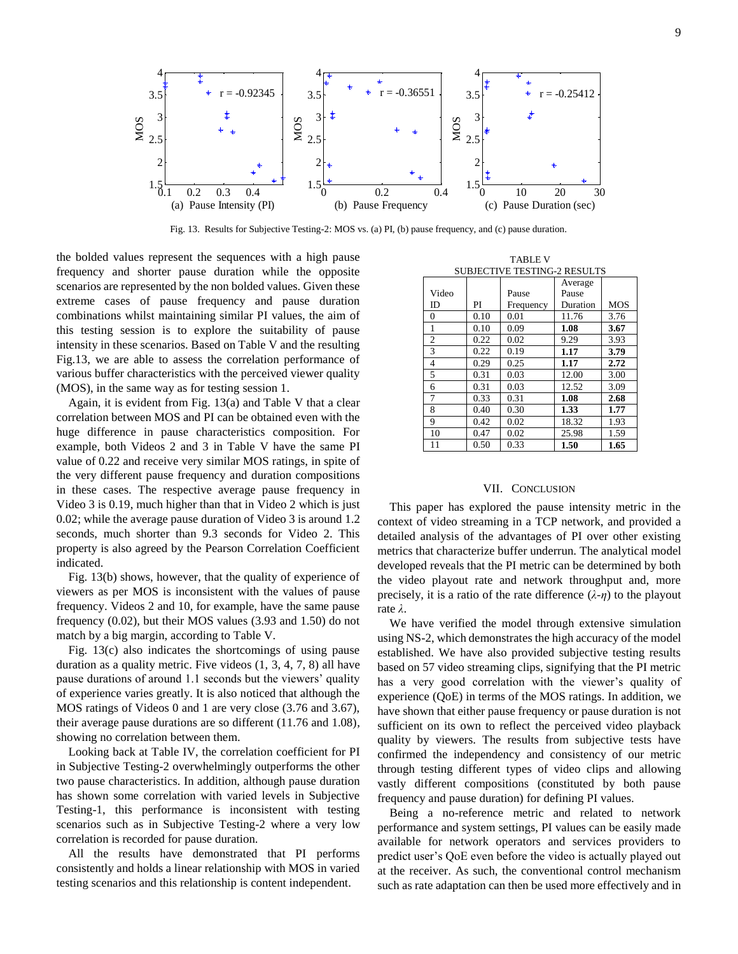

Fig. 13. Results for Subjective Testing-2: MOS vs. (a) PI, (b) pause frequency, and (c) pause duration.

the bolded values represent the sequences with a high pause frequency and shorter pause duration while the opposite scenarios are represented by the non bolded values. Given these extreme cases of pause frequency and pause duration combinations whilst maintaining similar PI values, the aim of this testing session is to explore the suitability of pause intensity in these scenarios. Based on Table V and the resulting Fig.13, we are able to assess the correlation performance of various buffer characteristics with the perceived viewer quality (MOS), in the same way as for testing session 1.

Again, it is evident from Fig. 13(a) and Table V that a clear correlation between MOS and PI can be obtained even with the huge difference in pause characteristics composition. For example, both Videos 2 and 3 in Table V have the same PI value of 0.22 and receive very similar MOS ratings, in spite of the very different pause frequency and duration compositions in these cases. The respective average pause frequency in Video 3 is 0.19, much higher than that in Video 2 which is just 0.02; while the average pause duration of Video 3 is around 1.2 seconds, much shorter than 9.3 seconds for Video 2. This property is also agreed by the Pearson Correlation Coefficient indicated.

Fig. 13(b) shows, however, that the quality of experience of viewers as per MOS is inconsistent with the values of pause frequency. Videos 2 and 10, for example, have the same pause frequency (0.02), but their MOS values (3.93 and 1.50) do not match by a big margin, according to Table V.

Fig. 13(c) also indicates the shortcomings of using pause duration as a quality metric. Five videos (1, 3, 4, 7, 8) all have pause durations of around 1.1 seconds but the viewers' quality of experience varies greatly. It is also noticed that although the MOS ratings of Videos 0 and 1 are very close (3.76 and 3.67), their average pause durations are so different (11.76 and 1.08), showing no correlation between them.

Looking back at Table IV, the correlation coefficient for PI in Subjective Testing-2 overwhelmingly outperforms the other two pause characteristics. In addition, although pause duration has shown some correlation with varied levels in Subjective Testing-1, this performance is inconsistent with testing scenarios such as in Subjective Testing-2 where a very low correlation is recorded for pause duration.

All the results have demonstrated that PI performs consistently and holds a linear relationship with MOS in varied testing scenarios and this relationship is content independent.

TABLE V

| <b>SUBJECTIVE TESTING-2 RESULTS</b> |      |           |          |            |  |  |
|-------------------------------------|------|-----------|----------|------------|--|--|
|                                     |      | Average   |          |            |  |  |
| Video                               |      | Pause     | Pause    |            |  |  |
| ID                                  | PI   | Frequency | Duration | <b>MOS</b> |  |  |
| $\theta$                            | 0.10 | 0.01      | 11.76    | 3.76       |  |  |
| 1                                   | 0.10 | 0.09      | 1.08     | 3.67       |  |  |
| $\overline{2}$                      | 0.22 | 0.02      | 9.29     | 3.93       |  |  |
| 3                                   | 0.22 | 0.19      | 1.17     | 3.79       |  |  |
| 4                                   | 0.29 | 0.25      | 1.17     | 2.72       |  |  |
| 5                                   | 0.31 | 0.03      | 12.00    | 3.00       |  |  |
| 6                                   | 0.31 | 0.03      | 12.52    | 3.09       |  |  |
| 7                                   | 0.33 | 0.31      | 1.08     | 2.68       |  |  |
| 8                                   | 0.40 | 0.30      | 1.33     | 1.77       |  |  |
| 9                                   | 0.42 | 0.02      | 18.32    | 1.93       |  |  |
| 10                                  | 0.47 | 0.02      | 25.98    | 1.59       |  |  |
| 11                                  | 0.50 | 0.33      | 1.50     | 1.65       |  |  |

## VII. CONCLUSION

This paper has explored the pause intensity metric in the context of video streaming in a TCP network, and provided a detailed analysis of the advantages of PI over other existing metrics that characterize buffer underrun. The analytical model developed reveals that the PI metric can be determined by both the video playout rate and network throughput and, more precisely, it is a ratio of the rate difference  $(\lambda - \eta)$  to the playout rate *λ*.

We have verified the model through extensive simulation using NS-2, which demonstrates the high accuracy of the model established. We have also provided subjective testing results based on 57 video streaming clips, signifying that the PI metric has a very good correlation with the viewer's quality of experience (QoE) in terms of the MOS ratings. In addition, we have shown that either pause frequency or pause duration is not sufficient on its own to reflect the perceived video playback quality by viewers. The results from subjective tests have confirmed the independency and consistency of our metric through testing different types of video clips and allowing vastly different compositions (constituted by both pause frequency and pause duration) for defining PI values.

Being a no-reference metric and related to network performance and system settings, PI values can be easily made available for network operators and services providers to predict user's QoE even before the video is actually played out at the receiver. As such, the conventional control mechanism such as rate adaptation can then be used more effectively and in